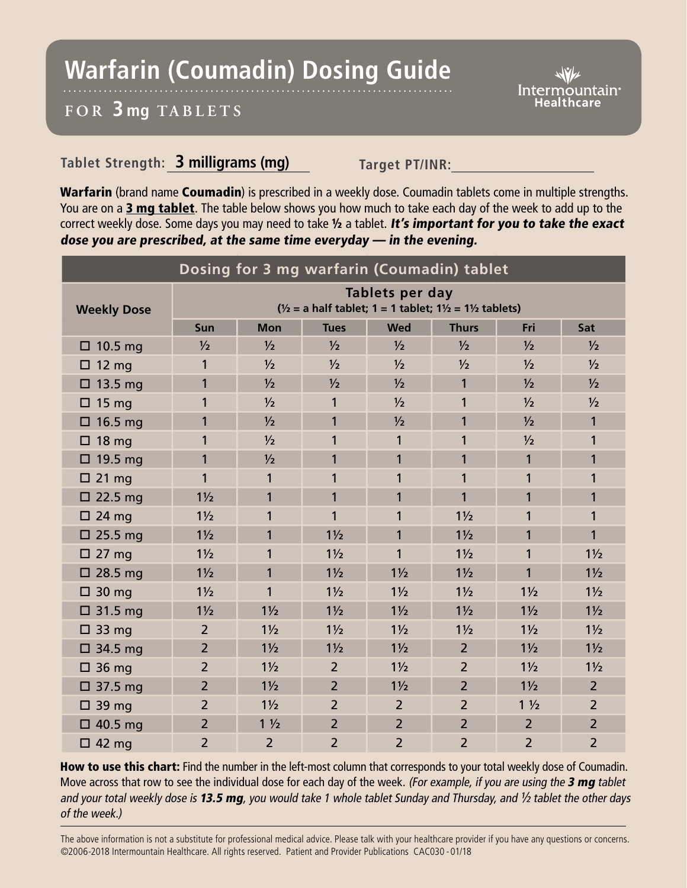## **Warfarin (Coumadin) Dosing Guide**

## **FOR 3 mg TABL ETS**

## **Tablet Strength: 3 milligrams (mg) Target PT/INR:**

Warfarin (brand name Coumadin) is prescribed in a weekly dose. Coumadin tablets come in multiple strengths. You are on a 3 mg tablet. The table below shows you how much to take each day of the week to add up to the correct weekly dose. Some days you may need to take 1/2 a tablet. It's important for you to take the exact dose you are prescribed, at the same time everyday — in the evening.

| Dosing for 3 mg warfarin (Coumadin) tablet |                                                                                                            |                |                |                |                |                |                |
|--------------------------------------------|------------------------------------------------------------------------------------------------------------|----------------|----------------|----------------|----------------|----------------|----------------|
| <b>Weekly Dose</b>                         | Tablets per day<br>$\frac{1}{2}$ = a half tablet; 1 = 1 tablet; 1 $\frac{1}{2}$ = 1 $\frac{1}{2}$ tablets) |                |                |                |                |                |                |
|                                            | Sun                                                                                                        | <b>Mon</b>     | <b>Tues</b>    | <b>Wed</b>     | <b>Thurs</b>   | Fri            | Sat            |
| $\Box$ 10.5 mg                             | $\frac{1}{2}$                                                                                              | $\frac{1}{2}$  | $\frac{1}{2}$  | $\frac{1}{2}$  | $\frac{1}{2}$  | $\frac{1}{2}$  | $\frac{1}{2}$  |
| $\Box$ 12 mg                               | 1                                                                                                          | $\frac{1}{2}$  | $\frac{1}{2}$  | $\frac{1}{2}$  | $\frac{1}{2}$  | $\frac{1}{2}$  | $\frac{1}{2}$  |
| $\Box$ 13.5 mg                             | 1                                                                                                          | $\frac{1}{2}$  | $\frac{1}{2}$  | $\frac{1}{2}$  | 1              | $\frac{1}{2}$  | $\frac{1}{2}$  |
| $\Box$ 15 mg                               | 1                                                                                                          | $\frac{1}{2}$  | 1              | $\frac{1}{2}$  | 1              | 1/2            | $\frac{1}{2}$  |
| $\Box$ 16.5 mg                             | 1                                                                                                          | 1/2            | 1              | 1/2            | 1              | 1/2            | 1              |
| $\Box$ 18 mg                               | 1                                                                                                          | 1/2            | 1              | $\mathbf{1}$   | 1              | 1/2            | 1              |
| $\Box$ 19.5 mg                             | 1                                                                                                          | $\frac{1}{2}$  | 1              | $\mathbf{1}$   | 1              | $\mathbf{1}$   | 1              |
| $\square$ 21 mg                            | 1                                                                                                          | 1              | 1              | 1              | 1              | 1              | 1              |
| $\Box$ 22.5 mg                             | $1\frac{1}{2}$                                                                                             | 1              | 1              | $\mathbf{1}$   | 1              | 1              | 1              |
| $\square$ 24 mg                            | $1\frac{1}{2}$                                                                                             | 1              | 1              | $\mathbf{1}$   | $1\frac{1}{2}$ | 1              | 1              |
| 25.5 mg<br>0                               | $1\frac{1}{2}$                                                                                             | 1              | $1\frac{1}{2}$ | $\mathbf{1}$   | $1\frac{1}{2}$ | 1              | 1              |
| 27 <sub>mg</sub><br>0.                     | $1\frac{1}{2}$                                                                                             | 1              | $1\frac{1}{2}$ | $\mathbf{1}$   | $1\frac{1}{2}$ | 1              | $1\frac{1}{2}$ |
| $\square$ 28.5 mg                          | $1\frac{1}{2}$                                                                                             | 1              | $1\frac{1}{2}$ | $1\frac{1}{2}$ | $1\frac{1}{2}$ | 1              | $1\frac{1}{2}$ |
| $\Box$ 30 mg                               | $1\frac{1}{2}$                                                                                             | 1              | $1\frac{1}{2}$ | $1\frac{1}{2}$ | $1\frac{1}{2}$ | $1\frac{1}{2}$ | $1\frac{1}{2}$ |
| $\Box$ 31.5 mg                             | $1\frac{1}{2}$                                                                                             | $1\frac{1}{2}$ | $1\frac{1}{2}$ | $1\frac{1}{2}$ | $1\frac{1}{2}$ | $1\frac{1}{2}$ | $1\frac{1}{2}$ |
| $\Box$ 33 mg                               | $\overline{2}$                                                                                             | $1\frac{1}{2}$ | $1\frac{1}{2}$ | $1\frac{1}{2}$ | $1\frac{1}{2}$ | $1\frac{1}{2}$ | $1\frac{1}{2}$ |
| $\Box$ 34.5 mg                             | $\overline{2}$                                                                                             | $1\frac{1}{2}$ | $1\frac{1}{2}$ | $1\frac{1}{2}$ | $\overline{2}$ | $1\frac{1}{2}$ | $1\frac{1}{2}$ |
| $\Box$ 36 mg                               | $\overline{2}$                                                                                             | $1\frac{1}{2}$ | $\overline{2}$ | $1\frac{1}{2}$ | $\overline{2}$ | $1\frac{1}{2}$ | $1\frac{1}{2}$ |
| $\Box$ 37.5 mg                             | $\overline{2}$                                                                                             | $1\frac{1}{2}$ | $\overline{2}$ | $1\frac{1}{2}$ | $\overline{2}$ | $1\frac{1}{2}$ | $\overline{2}$ |
| $\Box$ 39 mg                               | $\overline{2}$                                                                                             | $1\frac{1}{2}$ | $\overline{2}$ | $\overline{2}$ | $\overline{2}$ | $1\frac{1}{2}$ | $\overline{2}$ |
| $\Box$ 40.5 mg                             | $\overline{2}$                                                                                             | $1\frac{1}{2}$ | $\overline{2}$ | $\overline{2}$ | $\overline{2}$ | $\overline{2}$ | $\overline{2}$ |
| $\Box$ 42 mg                               | $\overline{2}$                                                                                             | $\overline{2}$ | $\overline{2}$ | $\overline{2}$ | $\overline{2}$ | $\overline{2}$ | $\overline{2}$ |

How to use this chart: Find the number in the left-most column that corresponds to your total weekly dose of Coumadin. Move across that row to see the individual dose for each day of the week. (For example, if you are using the 3 mg tablet and your total weekly dose is 13.5 mg, you would take 1 whole tablet Sunday and Thursday, and  $\frac{1}{2}$  tablet the other days of the week.)

The above information is not a substitute for professional medical advice. Please talk with your healthcare provider if you have any questions or concerns. ©2006-2018 Intermountain Healthcare. All rights reserved. Patient and Provider Publications CAC030 - 01/18